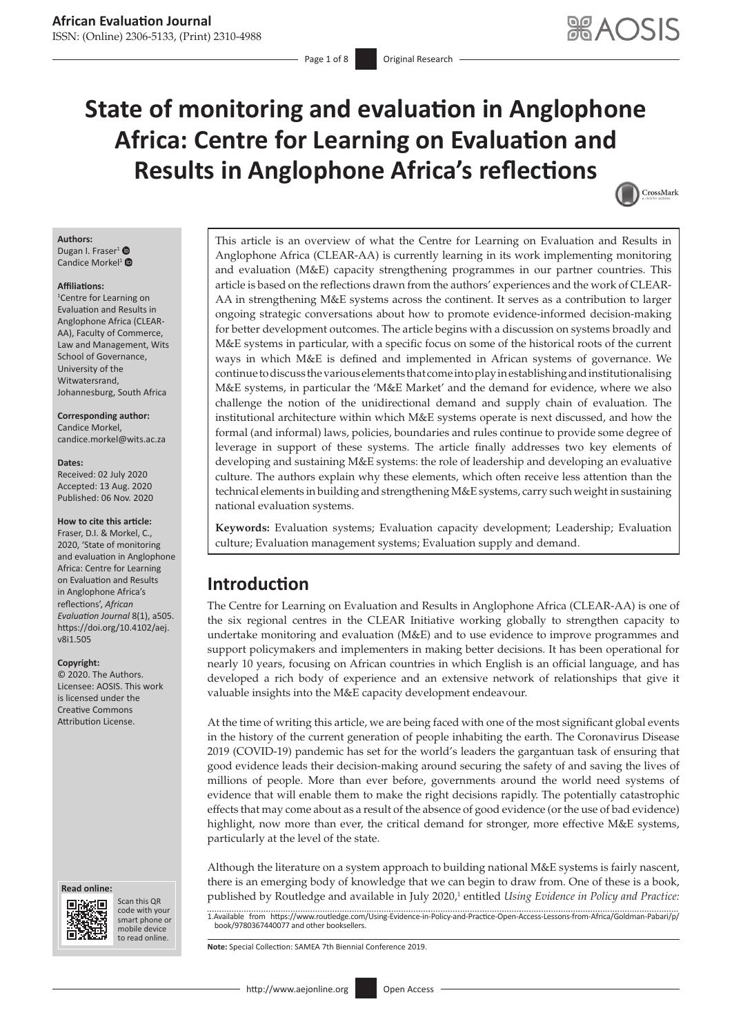# **State of monitoring and evaluation in Anglophone Africa: Centre for Learning on Evaluation and Results in Anglophone Africa's reflections**



### **Authors:**

Dugan I. Fraser<sup>[1](https://orcid.org/0000-0003-4981-1501)</sup> <sup>®</sup> Candice Morkel<sup>[1](https://orcid.org/0000-0002-4188-9526)</sup> $\bullet$ 

#### **Affiliations:**

1 Centre for Learning on Evaluation and Results in Anglophone Africa (CLEAR-AA), Faculty of Commerce, Law and Management, Wits School of Governance, University of the Witwatersrand, Johannesburg, South Africa

**Corresponding author:** Candice Morkel, [candice.morkel@wits.ac.za](mailto:candice.morkel@wits.ac.za)

#### **Dates:**

Received: 02 July 2020 Accepted: 13 Aug. 2020 Published: 06 Nov. 2020

#### **How to cite this article:**

Fraser, D.I. & Morkel, C., 2020, 'State of monitoring and evaluation in Anglophone Africa: Centre for Learning on Evaluation and Results in Anglophone Africa's reflections', *African Evaluation Journal* 8(1), a505. [https://doi.org/10.4102/aej.](https://doi.org/10.4102/aej.v8i1.505) [v8i1.505](https://doi.org/10.4102/aej.v8i1.505)

#### **Copyright:**

© 2020. The Authors. Licensee: AOSIS. This work is licensed under the Creative Commons Attribution License.

#### **Read online: Read online:**



Scan this QR code with your Scan this QR<br>code with your<br>smart phone or<br>mobile device mobile device to read online. to read online.

This article is an overview of what the Centre for Learning on Evaluation and Results in Anglophone Africa (CLEAR-AA) is currently learning in its work implementing monitoring and evaluation (M&E) capacity strengthening programmes in our partner countries. This article is based on the reflections drawn from the authors' experiences and the work of CLEAR-AA in strengthening M&E systems across the continent. It serves as a contribution to larger ongoing strategic conversations about how to promote evidence-informed decision-making for better development outcomes. The article begins with a discussion on systems broadly and M&E systems in particular, with a specific focus on some of the historical roots of the current ways in which M&E is defined and implemented in African systems of governance. We continue to discuss the various elements that come into play in establishing and institutionalising M&E systems, in particular the 'M&E Market' and the demand for evidence, where we also challenge the notion of the unidirectional demand and supply chain of evaluation. The institutional architecture within which M&E systems operate is next discussed, and how the formal (and informal) laws, policies, boundaries and rules continue to provide some degree of leverage in support of these systems. The article finally addresses two key elements of developing and sustaining M&E systems: the role of leadership and developing an evaluative culture. The authors explain why these elements, which often receive less attention than the technical elements in building and strengthening M&E systems, carry such weight in sustaining national evaluation systems.

**Keywords:** Evaluation systems; Evaluation capacity development; Leadership; Evaluation culture; Evaluation management systems; Evaluation supply and demand.

# **Introduction**

The Centre for Learning on Evaluation and Results in Anglophone Africa (CLEAR-AA) is one of the six regional centres in the CLEAR Initiative working globally to strengthen capacity to undertake monitoring and evaluation (M&E) and to use evidence to improve programmes and support policymakers and implementers in making better decisions. It has been operational for nearly 10 years, focusing on African countries in which English is an official language, and has developed a rich body of experience and an extensive network of relationships that give it valuable insights into the M&E capacity development endeavour.

At the time of writing this article, we are being faced with one of the most significant global events in the history of the current generation of people inhabiting the earth. The Coronavirus Disease 2019 (COVID-19) pandemic has set for the world's leaders the gargantuan task of ensuring that good evidence leads their decision-making around securing the safety of and saving the lives of millions of people. More than ever before, governments around the world need systems of evidence that will enable them to make the right decisions rapidly. The potentially catastrophic effects that may come about as a result of the absence of good evidence (or the use of bad evidence) highlight, now more than ever, the critical demand for stronger, more effective M&E systems, particularly at the level of the state.

Although the literature on a system approach to building national M&E systems is fairly nascent, there is an emerging body of knowledge that we can begin to draw from. One of these is a book, published by Routledge and available in July 2020,<sup>1</sup> entitled *Using Evidence in Policy and Practice:* 

1.Available from [https://www.routledge.com/Using-Evidence-in-Policy-and-Practice-Open-Access-Lessons-from-Africa/Goldman-Pabari/p/](https://www.routledge.com/Using-Evidence-in-Policy-and-Practice-Open-Access-Lessons-from-Africa/Goldman-Pabari/p/book/9780367440077) [book/9780367440077](https://www.routledge.com/Using-Evidence-in-Policy-and-Practice-Open-Access-Lessons-from-Africa/Goldman-Pabari/p/book/9780367440077) and other booksellers.

**Note:** Special Collection: SAMEA 7th Biennial Conference 2019.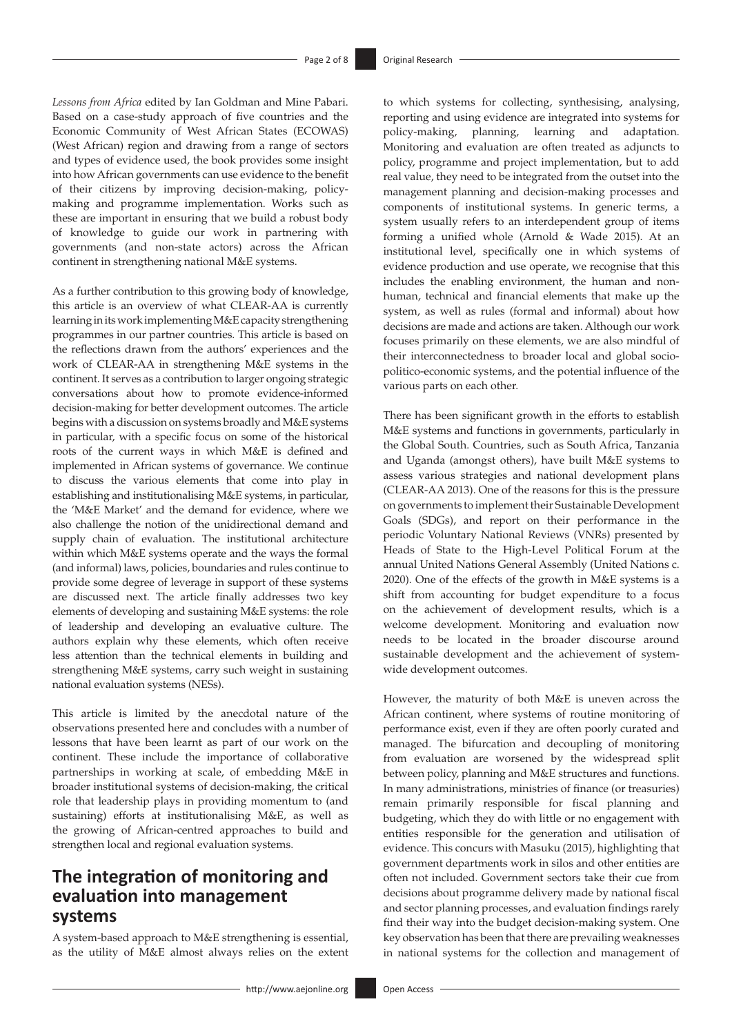*Lessons from Africa* edited by Ian Goldman and Mine Pabari. Based on a case-study approach of five countries and the Economic Community of West African States (ECOWAS) (West African) region and drawing from a range of sectors and types of evidence used, the book provides some insight into how African governments can use evidence to the benefit of their citizens by improving decision-making, policymaking and programme implementation. Works such as these are important in ensuring that we build a robust body of knowledge to guide our work in partnering with governments (and non-state actors) across the African continent in strengthening national M&E systems.

As a further contribution to this growing body of knowledge, this article is an overview of what CLEAR-AA is currently learning in its work implementing M&E capacity strengthening programmes in our partner countries. This article is based on the reflections drawn from the authors' experiences and the work of CLEAR-AA in strengthening M&E systems in the continent. It serves as a contribution to larger ongoing strategic conversations about how to promote evidence-informed decision-making for better development outcomes. The article begins with a discussion on systems broadly and M&E systems in particular, with a specific focus on some of the historical roots of the current ways in which M&E is defined and implemented in African systems of governance. We continue to discuss the various elements that come into play in establishing and institutionalising M&E systems, in particular, the 'M&E Market' and the demand for evidence, where we also challenge the notion of the unidirectional demand and supply chain of evaluation. The institutional architecture within which M&E systems operate and the ways the formal (and informal) laws, policies, boundaries and rules continue to provide some degree of leverage in support of these systems are discussed next. The article finally addresses two key elements of developing and sustaining M&E systems: the role of leadership and developing an evaluative culture. The authors explain why these elements, which often receive less attention than the technical elements in building and strengthening M&E systems, carry such weight in sustaining national evaluation systems (NESs).

This article is limited by the anecdotal nature of the observations presented here and concludes with a number of lessons that have been learnt as part of our work on the continent. These include the importance of collaborative partnerships in working at scale, of embedding M&E in broader institutional systems of decision-making, the critical role that leadership plays in providing momentum to (and sustaining) efforts at institutionalising M&E, as well as the growing of African-centred approaches to build and strengthen local and regional evaluation systems.

# **The integration of monitoring and evaluation into management systems**

A system-based approach to M&E strengthening is essential, as the utility of M&E almost always relies on the extent to which systems for collecting, synthesising, analysing, reporting and using evidence are integrated into systems for policy-making, planning, learning and adaptation. Monitoring and evaluation are often treated as adjuncts to policy, programme and project implementation, but to add real value, they need to be integrated from the outset into the management planning and decision-making processes and components of institutional systems. In generic terms, a system usually refers to an interdependent group of items forming a unified whole (Arnold & Wade 2015). At an institutional level, specifically one in which systems of evidence production and use operate, we recognise that this includes the enabling environment, the human and nonhuman, technical and financial elements that make up the system, as well as rules (formal and informal) about how decisions are made and actions are taken. Although our work focuses primarily on these elements, we are also mindful of their interconnectedness to broader local and global sociopolitico-economic systems, and the potential influence of the various parts on each other.

There has been significant growth in the efforts to establish M&E systems and functions in governments, particularly in the Global South. Countries, such as South Africa, Tanzania and Uganda (amongst others), have built M&E systems to assess various strategies and national development plans (CLEAR-AA 2013). One of the reasons for this is the pressure on governments to implement their Sustainable Development Goals (SDGs), and report on their performance in the periodic Voluntary National Reviews (VNRs) presented by Heads of State to the High-Level Political Forum at the annual United Nations General Assembly (United Nations c. 2020). One of the effects of the growth in M&E systems is a shift from accounting for budget expenditure to a focus on the achievement of development results, which is a welcome development. Monitoring and evaluation now needs to be located in the broader discourse around sustainable development and the achievement of systemwide development outcomes.

However, the maturity of both M&E is uneven across the African continent, where systems of routine monitoring of performance exist, even if they are often poorly curated and managed. The bifurcation and decoupling of monitoring from evaluation are worsened by the widespread split between policy, planning and M&E structures and functions. In many administrations, ministries of finance (or treasuries) remain primarily responsible for fiscal planning and budgeting, which they do with little or no engagement with entities responsible for the generation and utilisation of evidence. This concurs with Masuku (2015), highlighting that government departments work in silos and other entities are often not included. Government sectors take their cue from decisions about programme delivery made by national fiscal and sector planning processes, and evaluation findings rarely find their way into the budget decision-making system. One key observation has been that there are prevailing weaknesses in national systems for the collection and management of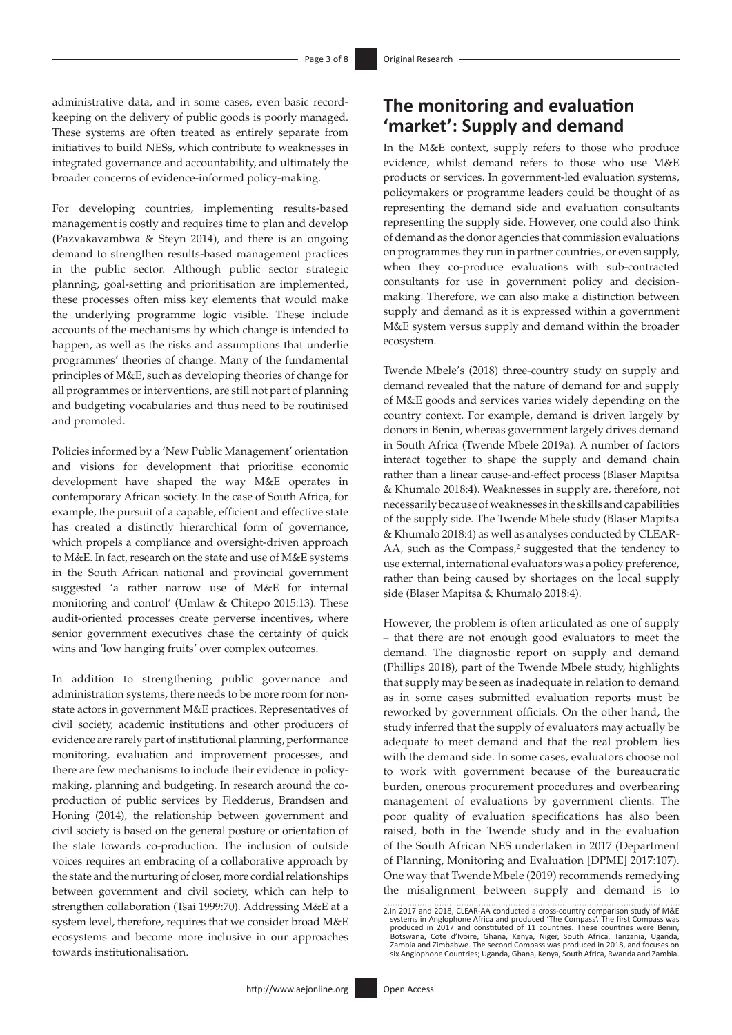administrative data, and in some cases, even basic recordkeeping on the delivery of public goods is poorly managed. These systems are often treated as entirely separate from initiatives to build NESs, which contribute to weaknesses in integrated governance and accountability, and ultimately the broader concerns of evidence-informed policy-making.

For developing countries, implementing results-based management is costly and requires time to plan and develop (Pazvakavambwa & Steyn 2014), and there is an ongoing demand to strengthen results-based management practices in the public sector. Although public sector strategic planning, goal-setting and prioritisation are implemented, these processes often miss key elements that would make the underlying programme logic visible. These include accounts of the mechanisms by which change is intended to happen, as well as the risks and assumptions that underlie programmes' theories of change. Many of the fundamental principles of M&E, such as developing theories of change for all programmes or interventions, are still not part of planning and budgeting vocabularies and thus need to be routinised and promoted.

Policies informed by a 'New Public Management' orientation and visions for development that prioritise economic development have shaped the way M&E operates in contemporary African society. In the case of South Africa, for example, the pursuit of a capable, efficient and effective state has created a distinctly hierarchical form of governance, which propels a compliance and oversight-driven approach to M&E. In fact, research on the state and use of M&E systems in the South African national and provincial government suggested 'a rather narrow use of M&E for internal monitoring and control' (Umlaw & Chitepo 2015:13). These audit-oriented processes create perverse incentives, where senior government executives chase the certainty of quick wins and 'low hanging fruits' over complex outcomes.

In addition to strengthening public governance and administration systems, there needs to be more room for nonstate actors in government M&E practices. Representatives of civil society, academic institutions and other producers of evidence are rarely part of institutional planning, performance monitoring, evaluation and improvement processes, and there are few mechanisms to include their evidence in policymaking, planning and budgeting. In research around the coproduction of public services by Fledderus, Brandsen and Honing (2014), the relationship between government and civil society is based on the general posture or orientation of the state towards co-production. The inclusion of outside voices requires an embracing of a collaborative approach by the state and the nurturing of closer, more cordial relationships between government and civil society, which can help to strengthen collaboration (Tsai 1999:70). Addressing M&E at a system level, therefore, requires that we consider broad M&E ecosystems and become more inclusive in our approaches towards institutionalisation.

# **The monitoring and evaluation 'market': Supply and demand**

In the M&E context, supply refers to those who produce evidence, whilst demand refers to those who use M&E products or services. In government-led evaluation systems, policymakers or programme leaders could be thought of as representing the demand side and evaluation consultants representing the supply side. However, one could also think of demand as the donor agencies that commission evaluations on programmes they run in partner countries, or even supply, when they co-produce evaluations with sub-contracted consultants for use in government policy and decisionmaking. Therefore, we can also make a distinction between supply and demand as it is expressed within a government M&E system versus supply and demand within the broader ecosystem.

Twende Mbele's (2018) three-country study on supply and demand revealed that the nature of demand for and supply of M&E goods and services varies widely depending on the country context. For example, demand is driven largely by donors in Benin, whereas government largely drives demand in South Africa (Twende Mbele 2019a). A number of factors interact together to shape the supply and demand chain rather than a linear cause-and-effect process (Blaser Mapitsa & Khumalo 2018:4). Weaknesses in supply are, therefore, not necessarily because of weaknesses in the skills and capabilities of the supply side. The Twende Mbele study (Blaser Mapitsa & Khumalo 2018:4) as well as analyses conducted by CLEAR-AA, such as the Compass,<sup>2</sup> suggested that the tendency to use external, international evaluators was a policy preference, rather than being caused by shortages on the local supply side (Blaser Mapitsa & Khumalo 2018:4).

However, the problem is often articulated as one of supply – that there are not enough good evaluators to meet the demand. The diagnostic report on supply and demand (Phillips 2018), part of the Twende Mbele study, highlights that supply may be seen as inadequate in relation to demand as in some cases submitted evaluation reports must be reworked by government officials. On the other hand, the study inferred that the supply of evaluators may actually be adequate to meet demand and that the real problem lies with the demand side. In some cases, evaluators choose not to work with government because of the bureaucratic burden, onerous procurement procedures and overbearing management of evaluations by government clients. The poor quality of evaluation specifications has also been raised, both in the Twende study and in the evaluation of the South African NES undertaken in 2017 (Department of Planning, Monitoring and Evaluation [DPME] 2017:107). One way that Twende Mbele (2019) recommends remedying the misalignment between supply and demand is to

<sup>2.</sup>In 2017 and 2018, CLEAR-AA conducted a cross-country comparison study of M&E systems in Anglophone Africa and produced 'The Compass'. The first Compass was<br>produced in 2017 and constituted of 11 countries. These countries were Benin,<br>Botswana, Cote d'Ivoire, Ghana, Kenya, Niger, South Africa, Tanza six Anglophone Countries; Uganda, Ghana, Kenya, South Africa, Rwanda and Zambia.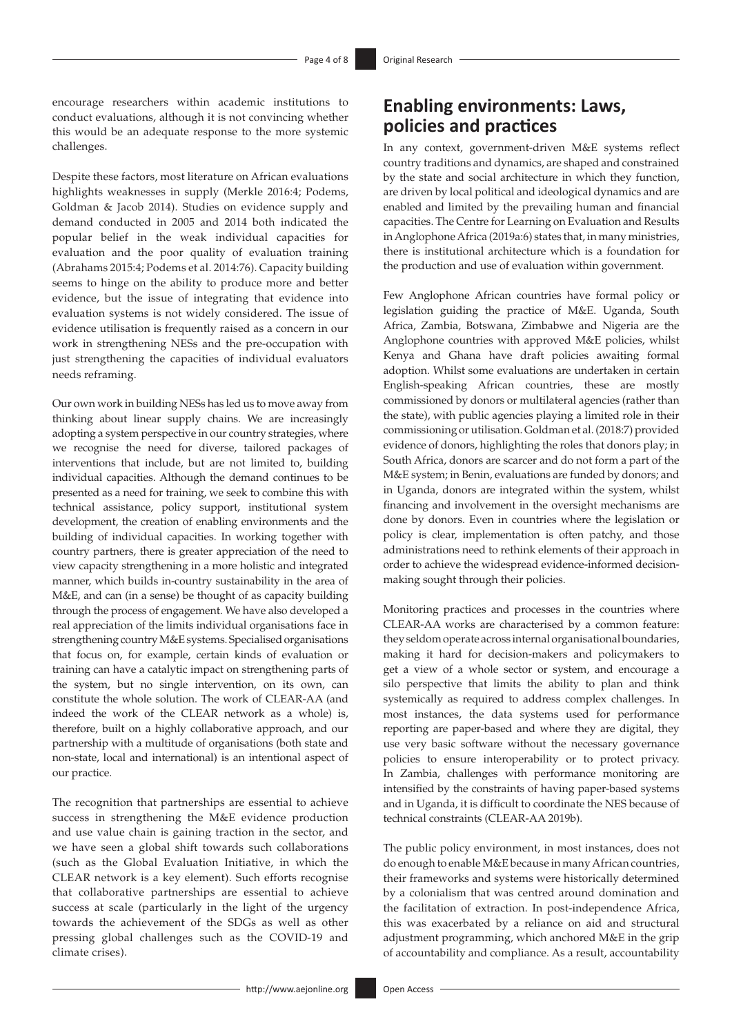encourage researchers within academic institutions to conduct evaluations, although it is not convincing whether this would be an adequate response to the more systemic challenges.

Despite these factors, most literature on African evaluations highlights weaknesses in supply (Merkle 2016:4; Podems, Goldman & Jacob 2014). Studies on evidence supply and demand conducted in 2005 and 2014 both indicated the popular belief in the weak individual capacities for evaluation and the poor quality of evaluation training (Abrahams 2015:4; Podems et al. 2014:76). Capacity building seems to hinge on the ability to produce more and better evidence, but the issue of integrating that evidence into evaluation systems is not widely considered. The issue of evidence utilisation is frequently raised as a concern in our work in strengthening NESs and the pre-occupation with just strengthening the capacities of individual evaluators needs reframing.

Our own work in building NESs has led us to move away from thinking about linear supply chains. We are increasingly adopting a system perspective in our country strategies, where we recognise the need for diverse, tailored packages of interventions that include, but are not limited to, building individual capacities. Although the demand continues to be presented as a need for training, we seek to combine this with technical assistance, policy support, institutional system development, the creation of enabling environments and the building of individual capacities. In working together with country partners, there is greater appreciation of the need to view capacity strengthening in a more holistic and integrated manner, which builds in-country sustainability in the area of M&E, and can (in a sense) be thought of as capacity building through the process of engagement. We have also developed a real appreciation of the limits individual organisations face in strengthening country M&E systems. Specialised organisations that focus on, for example, certain kinds of evaluation or training can have a catalytic impact on strengthening parts of the system, but no single intervention, on its own, can constitute the whole solution. The work of CLEAR-AA (and indeed the work of the CLEAR network as a whole) is, therefore, built on a highly collaborative approach, and our partnership with a multitude of organisations (both state and non-state, local and international) is an intentional aspect of our practice.

The recognition that partnerships are essential to achieve success in strengthening the M&E evidence production and use value chain is gaining traction in the sector, and we have seen a global shift towards such collaborations (such as the Global Evaluation Initiative, in which the CLEAR network is a key element). Such efforts recognise that collaborative partnerships are essential to achieve success at scale (particularly in the light of the urgency towards the achievement of the SDGs as well as other pressing global challenges such as the COVID-19 and climate crises).

## **Enabling environments: Laws, policies and practices**

In any context, government-driven M&E systems reflect country traditions and dynamics, are shaped and constrained by the state and social architecture in which they function, are driven by local political and ideological dynamics and are enabled and limited by the prevailing human and financial capacities. The Centre for Learning on Evaluation and Results in Anglophone Africa (2019a:6) states that, in many ministries, there is institutional architecture which is a foundation for the production and use of evaluation within government.

Few Anglophone African countries have formal policy or legislation guiding the practice of M&E. Uganda, South Africa, Zambia, Botswana, Zimbabwe and Nigeria are the Anglophone countries with approved M&E policies, whilst Kenya and Ghana have draft policies awaiting formal adoption. Whilst some evaluations are undertaken in certain English-speaking African countries, these are mostly commissioned by donors or multilateral agencies (rather than the state), with public agencies playing a limited role in their commissioning or utilisation. Goldman et al. (2018:7) provided evidence of donors, highlighting the roles that donors play; in South Africa, donors are scarcer and do not form a part of the M&E system; in Benin, evaluations are funded by donors; and in Uganda, donors are integrated within the system, whilst financing and involvement in the oversight mechanisms are done by donors. Even in countries where the legislation or policy is clear, implementation is often patchy, and those administrations need to rethink elements of their approach in order to achieve the widespread evidence-informed decisionmaking sought through their policies.

Monitoring practices and processes in the countries where CLEAR-AA works are characterised by a common feature: they seldom operate across internal organisational boundaries, making it hard for decision-makers and policymakers to get a view of a whole sector or system, and encourage a silo perspective that limits the ability to plan and think systemically as required to address complex challenges. In most instances, the data systems used for performance reporting are paper-based and where they are digital, they use very basic software without the necessary governance policies to ensure interoperability or to protect privacy. In Zambia, challenges with performance monitoring are intensified by the constraints of having paper-based systems and in Uganda, it is difficult to coordinate the NES because of technical constraints (CLEAR-AA 2019b).

The public policy environment, in most instances, does not do enough to enable M&E because in many African countries, their frameworks and systems were historically determined by a colonialism that was centred around domination and the facilitation of extraction. In post-independence Africa, this was exacerbated by a reliance on aid and structural adjustment programming, which anchored M&E in the grip of accountability and compliance. As a result, accountability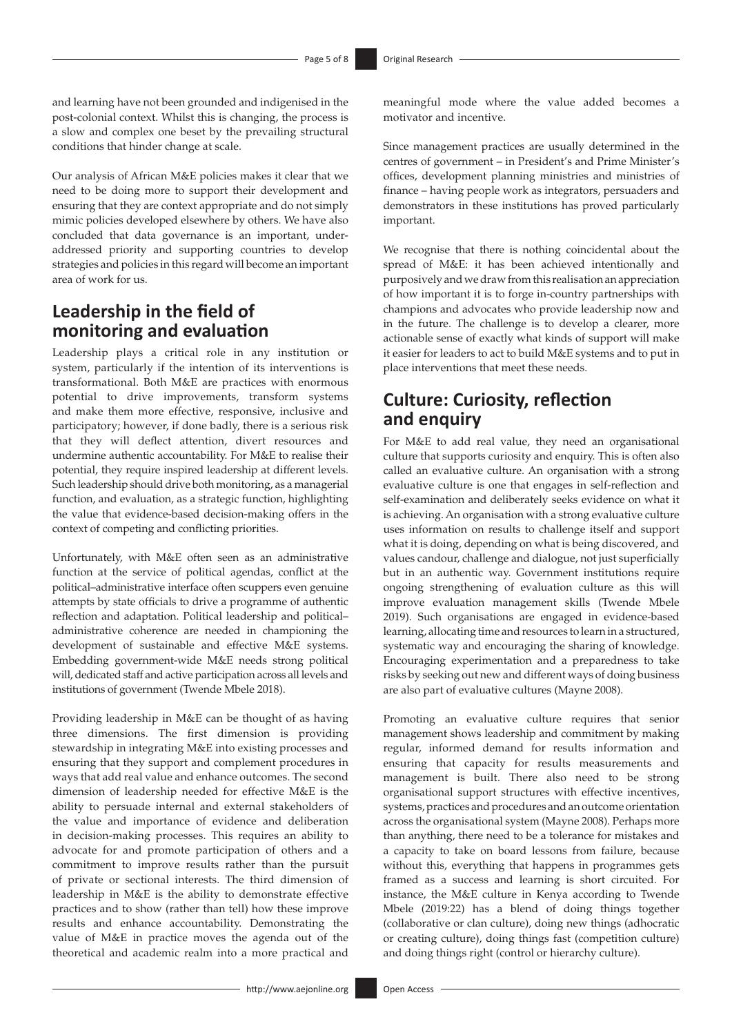and learning have not been grounded and indigenised in the post-colonial context. Whilst this is changing, the process is a slow and complex one beset by the prevailing structural conditions that hinder change at scale.

Our analysis of African M&E policies makes it clear that we need to be doing more to support their development and ensuring that they are context appropriate and do not simply mimic policies developed elsewhere by others. We have also concluded that data governance is an important, underaddressed priority and supporting countries to develop strategies and policies in this regard will become an important area of work for us.

# **Leadership in the field of monitoring and evaluation**

Leadership plays a critical role in any institution or system, particularly if the intention of its interventions is transformational. Both M&E are practices with enormous potential to drive improvements, transform systems and make them more effective, responsive, inclusive and participatory; however, if done badly, there is a serious risk that they will deflect attention, divert resources and undermine authentic accountability. For M&E to realise their potential, they require inspired leadership at different levels. Such leadership should drive both monitoring, as a managerial function, and evaluation, as a strategic function, highlighting the value that evidence-based decision-making offers in the context of competing and conflicting priorities.

Unfortunately, with M&E often seen as an administrative function at the service of political agendas, conflict at the political–administrative interface often scuppers even genuine attempts by state officials to drive a programme of authentic reflection and adaptation. Political leadership and political– administrative coherence are needed in championing the development of sustainable and effective M&E systems. Embedding government-wide M&E needs strong political will, dedicated staff and active participation across all levels and institutions of government (Twende Mbele 2018).

Providing leadership in M&E can be thought of as having three dimensions. The first dimension is providing stewardship in integrating M&E into existing processes and ensuring that they support and complement procedures in ways that add real value and enhance outcomes. The second dimension of leadership needed for effective M&E is the ability to persuade internal and external stakeholders of the value and importance of evidence and deliberation in decision-making processes. This requires an ability to advocate for and promote participation of others and a commitment to improve results rather than the pursuit of private or sectional interests. The third dimension of leadership in M&E is the ability to demonstrate effective practices and to show (rather than tell) how these improve results and enhance accountability. Demonstrating the value of M&E in practice moves the agenda out of the theoretical and academic realm into a more practical and

meaningful mode where the value added becomes a motivator and incentive.

Since management practices are usually determined in the centres of government – in President's and Prime Minister's offices, development planning ministries and ministries of finance – having people work as integrators, persuaders and demonstrators in these institutions has proved particularly important.

We recognise that there is nothing coincidental about the spread of M&E: it has been achieved intentionally and purposively and we draw from this realisation an appreciation of how important it is to forge in-country partnerships with champions and advocates who provide leadership now and in the future. The challenge is to develop a clearer, more actionable sense of exactly what kinds of support will make it easier for leaders to act to build M&E systems and to put in place interventions that meet these needs.

# **Culture: Curiosity, reflection and enquiry**

For M&E to add real value, they need an organisational culture that supports curiosity and enquiry. This is often also called an evaluative culture. An organisation with a strong evaluative culture is one that engages in self-reflection and self-examination and deliberately seeks evidence on what it is achieving. An organisation with a strong evaluative culture uses information on results to challenge itself and support what it is doing, depending on what is being discovered, and values candour, challenge and dialogue, not just superficially but in an authentic way. Government institutions require ongoing strengthening of evaluation culture as this will improve evaluation management skills (Twende Mbele 2019). Such organisations are engaged in evidence-based learning, allocating time and resources to learn in a structured, systematic way and encouraging the sharing of knowledge. Encouraging experimentation and a preparedness to take risks by seeking out new and different ways of doing business are also part of evaluative cultures (Mayne 2008).

Promoting an evaluative culture requires that senior management shows leadership and commitment by making regular, informed demand for results information and ensuring that capacity for results measurements and management is built. There also need to be strong organisational support structures with effective incentives, systems, practices and procedures and an outcome orientation across the organisational system (Mayne 2008). Perhaps more than anything, there need to be a tolerance for mistakes and a capacity to take on board lessons from failure, because without this, everything that happens in programmes gets framed as a success and learning is short circuited. For instance, the M&E culture in Kenya according to Twende Mbele (2019:22) has a blend of doing things together (collaborative or clan culture), doing new things (adhocratic or creating culture), doing things fast (competition culture) and doing things right (control or hierarchy culture).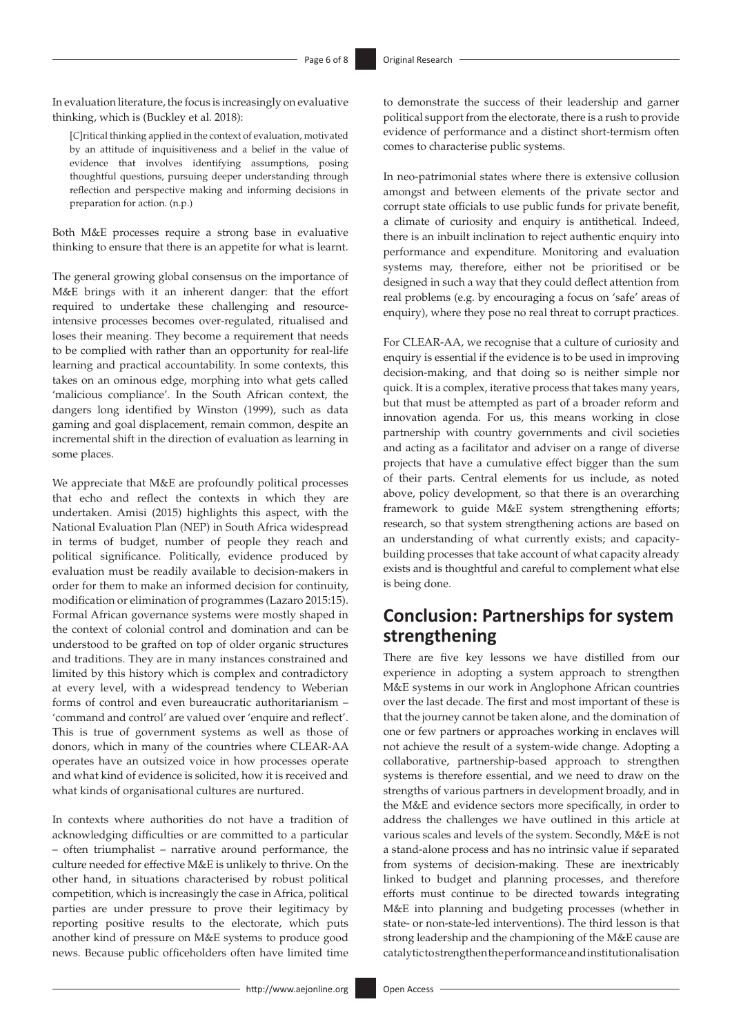In evaluation literature, the focus is increasingly on evaluative thinking, which is (Buckley et al. 2018):

[*C*]ritical thinking applied in the context of evaluation, motivated by an attitude of inquisitiveness and a belief in the value of evidence that involves identifying assumptions, posing thoughtful questions, pursuing deeper understanding through reflection and perspective making and informing decisions in preparation for action. (n.p.)

Both M&E processes require a strong base in evaluative thinking to ensure that there is an appetite for what is learnt.

The general growing global consensus on the importance of M&E brings with it an inherent danger: that the effort required to undertake these challenging and resourceintensive processes becomes over-regulated, ritualised and loses their meaning. They become a requirement that needs to be complied with rather than an opportunity for real-life learning and practical accountability. In some contexts, this takes on an ominous edge, morphing into what gets called 'malicious compliance'. In the South African context, the dangers long identified by Winston (1999), such as data gaming and goal displacement, remain common, despite an incremental shift in the direction of evaluation as learning in some places.

We appreciate that M&E are profoundly political processes that echo and reflect the contexts in which they are undertaken. Amisi (2015) highlights this aspect, with the National Evaluation Plan (NEP) in South Africa widespread in terms of budget, number of people they reach and political significance. Politically, evidence produced by evaluation must be readily available to decision-makers in order for them to make an informed decision for continuity, modification or elimination of programmes (Lazaro 2015:15). Formal African governance systems were mostly shaped in the context of colonial control and domination and can be understood to be grafted on top of older organic structures and traditions. They are in many instances constrained and limited by this history which is complex and contradictory at every level, with a widespread tendency to Weberian forms of control and even bureaucratic authoritarianism – 'command and control' are valued over 'enquire and reflect'. This is true of government systems as well as those of donors, which in many of the countries where CLEAR-AA operates have an outsized voice in how processes operate and what kind of evidence is solicited, how it is received and what kinds of organisational cultures are nurtured.

In contexts where authorities do not have a tradition of acknowledging difficulties or are committed to a particular – often triumphalist – narrative around performance, the culture needed for effective M&E is unlikely to thrive. On the other hand, in situations characterised by robust political competition, which is increasingly the case in Africa, political parties are under pressure to prove their legitimacy by reporting positive results to the electorate, which puts another kind of pressure on M&E systems to produce good news. Because public officeholders often have limited time

to demonstrate the success of their leadership and garner political support from the electorate, there is a rush to provide evidence of performance and a distinct short-termism often comes to characterise public systems.

In neo-patrimonial states where there is extensive collusion amongst and between elements of the private sector and corrupt state officials to use public funds for private benefit, a climate of curiosity and enquiry is antithetical. Indeed, there is an inbuilt inclination to reject authentic enquiry into performance and expenditure. Monitoring and evaluation systems may, therefore, either not be prioritised or be designed in such a way that they could deflect attention from real problems (e.g. by encouraging a focus on 'safe' areas of enquiry), where they pose no real threat to corrupt practices.

For CLEAR-AA, we recognise that a culture of curiosity and enquiry is essential if the evidence is to be used in improving decision-making, and that doing so is neither simple nor quick. It is a complex, iterative process that takes many years, but that must be attempted as part of a broader reform and innovation agenda. For us, this means working in close partnership with country governments and civil societies and acting as a facilitator and adviser on a range of diverse projects that have a cumulative effect bigger than the sum of their parts. Central elements for us include, as noted above, policy development, so that there is an overarching framework to guide M&E system strengthening efforts; research, so that system strengthening actions are based on an understanding of what currently exists; and capacitybuilding processes that take account of what capacity already exists and is thoughtful and careful to complement what else is being done.

# **Conclusion: Partnerships for system strengthening**

There are five key lessons we have distilled from our experience in adopting a system approach to strengthen M&E systems in our work in Anglophone African countries over the last decade. The first and most important of these is that the journey cannot be taken alone, and the domination of one or few partners or approaches working in enclaves will not achieve the result of a system-wide change. Adopting a collaborative, partnership-based approach to strengthen systems is therefore essential, and we need to draw on the strengths of various partners in development broadly, and in the M&E and evidence sectors more specifically, in order to address the challenges we have outlined in this article at various scales and levels of the system. Secondly, M&E is not a stand-alone process and has no intrinsic value if separated from systems of decision-making. These are inextricably linked to budget and planning processes, and therefore efforts must continue to be directed towards integrating M&E into planning and budgeting processes (whether in state- or non-state-led interventions). The third lesson is that strong leadership and the championing of the M&E cause are catalytic to strengthen the performance and institutionalisation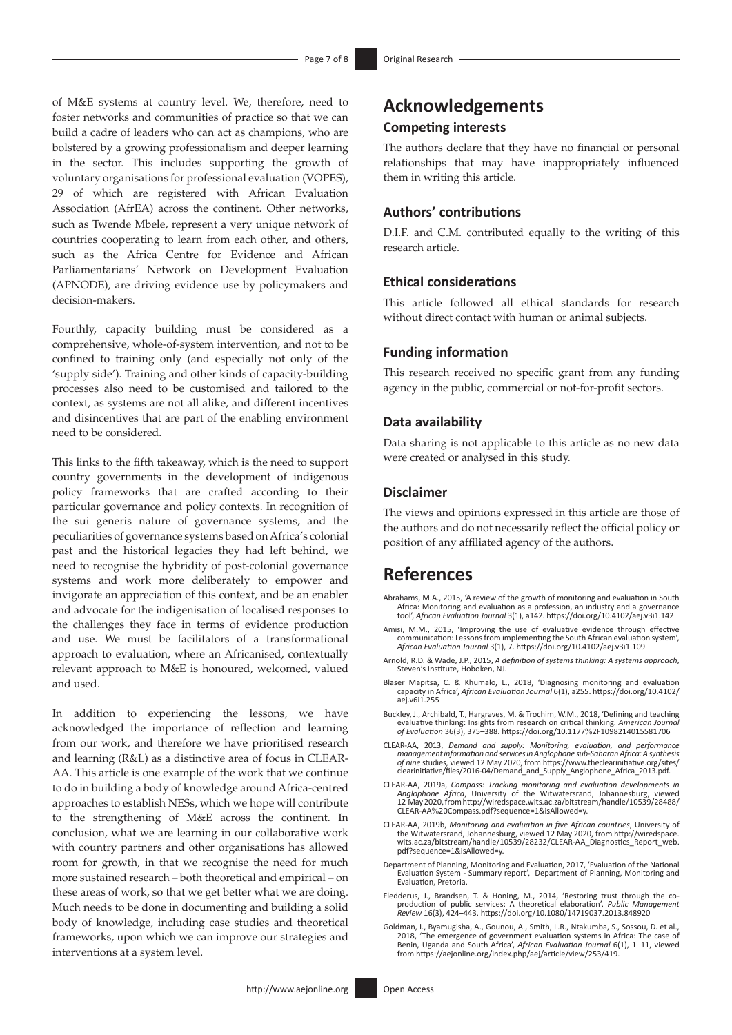of M&E systems at country level. We, therefore, need to foster networks and communities of practice so that we can build a cadre of leaders who can act as champions, who are bolstered by a growing professionalism and deeper learning in the sector. This includes supporting the growth of voluntary organisations for professional evaluation (VOPES), 29 of which are registered with African Evaluation Association (AfrEA) across the continent. Other networks, such as Twende Mbele, represent a very unique network of countries cooperating to learn from each other, and others, such as the Africa Centre for Evidence and African Parliamentarians' Network on Development Evaluation (APNODE), are driving evidence use by policymakers and decision-makers.

Fourthly, capacity building must be considered as a comprehensive, whole-of-system intervention, and not to be confined to training only (and especially not only of the 'supply side'). Training and other kinds of capacity-building processes also need to be customised and tailored to the context, as systems are not all alike, and different incentives and disincentives that are part of the enabling environment need to be considered.

This links to the fifth takeaway, which is the need to support country governments in the development of indigenous policy frameworks that are crafted according to their particular governance and policy contexts. In recognition of the sui generis nature of governance systems, and the peculiarities of governance systems based on Africa's colonial past and the historical legacies they had left behind, we need to recognise the hybridity of post-colonial governance systems and work more deliberately to empower and invigorate an appreciation of this context, and be an enabler and advocate for the indigenisation of localised responses to the challenges they face in terms of evidence production and use. We must be facilitators of a transformational approach to evaluation, where an Africanised, contextually relevant approach to M&E is honoured, welcomed, valued and used.

In addition to experiencing the lessons, we have acknowledged the importance of reflection and learning from our work, and therefore we have prioritised research and learning (R&L) as a distinctive area of focus in CLEAR-AA. This article is one example of the work that we continue to do in building a body of knowledge around Africa-centred approaches to establish NESs, which we hope will contribute to the strengthening of M&E across the continent. In conclusion, what we are learning in our collaborative work with country partners and other organisations has allowed room for growth, in that we recognise the need for much more sustained research – both theoretical and empirical – on these areas of work, so that we get better what we are doing. Much needs to be done in documenting and building a solid body of knowledge, including case studies and theoretical frameworks, upon which we can improve our strategies and interventions at a system level.

## **Acknowledgements Competing interests**

The authors declare that they have no financial or personal relationships that may have inappropriately influenced them in writing this article.

### **Authors' contributions**

D.I.F. and C.M. contributed equally to the writing of this research article.

#### **Ethical considerations**

This article followed all ethical standards for research without direct contact with human or animal subjects.

#### **Funding information**

This research received no specific grant from any funding agency in the public, commercial or not-for-profit sectors.

#### **Data availability**

Data sharing is not applicable to this article as no new data were created or analysed in this study.

#### **Disclaimer**

The views and opinions expressed in this article are those of the authors and do not necessarily reflect the official policy or position of any affiliated agency of the authors.

### **References**

- Abrahams, M.A., 2015, 'A review of the growth of monitoring and evaluation in South Africa: Monitoring and evaluation as a profession, an industry and a governance tool', *African Evaluation Journal* 3(1), a142. <https://doi.org/10.4102/aej.v3i1.142>
- Amisi, M.M., 2015, 'Improving the use of evaluative evidence through effective communication: Lessons from implementing the South African evaluation system', *African Evaluation Journal* 3(1), 7.<https://doi.org/10.4102/aej.v3i1.109>
- Arnold, R.D. & Wade, J.P., 2015, *A definition of systems thinking: A systems approach*, Steven's Institute, Hoboken, NJ.
- Blaser Mapitsa, C. & Khumalo, L., 2018, 'Diagnosing monitoring and evaluation capacity in Africa', *African Evaluation Journal* 6(1), a255. [https://doi.org/10.4102/](https://doi.org/10.4102/aej.v6i1.255) [aej.v6i1.255](https://doi.org/10.4102/aej.v6i1.255)
- Buckley, J., Archibald, T., Hargraves, M. & Trochim, W.M., 2018, 'Defining and teaching evaluative thinking: Insights from research on critical thinking. *American Journal of Evaluation* 36(3), 375–388. [https://doi.org/10.1177](https://doi.org/10.1177%2F1098214015581706)%2F1098214015581706
- CLEAR-AA, 2013, *Demand and supply: Monitoring, evaluation, and performance management information and services in Anglophone sub-Saharan Africa: A synthesis<br><i>of nine st*udies, viewed 12 May 2020, from [https://www.theclearinitiative.org/sites/](https://www.theclearinitiative.org/sites/clearinitiative/files/2016-04/Demand_and_Supply_Anglophone_Africa_2013.pdf) [clearinitiative/files/2016-04/Demand\\_and\\_Supply\\_Anglophone\\_Africa\\_2013.pdf.](https://www.theclearinitiative.org/sites/clearinitiative/files/2016-04/Demand_and_Supply_Anglophone_Africa_2013.pdf)
- CLEAR-AA, 2019a, *Compass: Tracking monitoring and evaluation developments in Anglophone Africa*, University of the Witwatersrand, Johannesburg, viewed 12 May 2020, from [http://wiredspace.wits.ac.za/bitstream/handle/10539/28488/](http://wiredspace.wits.ac.za/bitstream/handle/10539/28488/CLEAR-AA%20Compass.pdf?sequence=1&isAllowed=y) CLEAR-AA%[20Compass.pdf?sequence=1&isAllowed=y.](http://wiredspace.wits.ac.za/bitstream/handle/10539/28488/CLEAR-AA%20Compass.pdf?sequence=1&isAllowed=y)
- CLEAR-AA, 2019b, Monitoring and evaluation in five African countries, University of<br>the Witwatersrand, Johannesburg, viewed 12 May 2020, from [http://wiredspace.](http://wiredspace.wits.ac.za/bitstream/handle/10539/28232/CLEAR-AA_Diagnostics_Report_web.pdf?sequence=1&isAllowed=y)<br>wits.ac.za/bitstream/handle/10539/28232/CLEAR-AA\_Diagnostics\_ [pdf?sequence=1&isAllowed=y](http://wiredspace.wits.ac.za/bitstream/handle/10539/28232/CLEAR-AA_Diagnostics_Report_web.pdf?sequence=1&isAllowed=y).
- Department of Planning, Monitoring and Evaluation, 2017, 'Evaluation of the National Evaluation System - Summary report', Department of Planning, Monitoring and Evaluation, Pretoria.
- Fledderus, J., Brandsen, T. & Honing, M., 2014, 'Restoring trust through the co-production of public services: A theoretical elaboration', *Public Management Review* 16(3), 424–443.<https://doi.org/10.1080/14719037.2013.848920>
- Goldman, I., Byamugisha, A., Gounou, A., Smith, L.R., Ntakumba, S., Sossou, D. et al., 2018, 'The emergence of government evaluation systems in Africa: The case of Benin, Uganda and South Africa', *African Evaluation Journal* 6(1), 1–11, viewed from [https://aejonline.org/index.php/aej/article/view/253/419.](https://aejonline.org/index.php/aej/article/view/253/419)